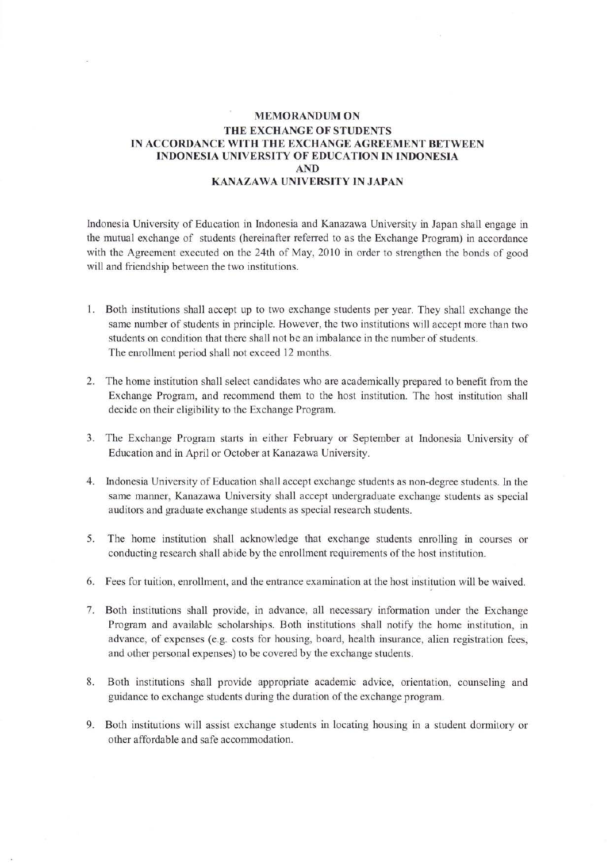## **MEMORANDUM ON** THE EXCHANGE OF STUDENTS IN ACCORDANCE WITH THE EXCHANGE AGREEMENT BETWEEN INDONESIA UNIVERSITY OF EDUCATION IN INDONESIA AND KANAZAWA UNIVERSITY IN JAPAN

Indonesia University of Education in lndonesia andKanazawa University in Japan shall engage in the mutual exchange of students (hereinafter referred to as the Exchange Program) in accordance with the Agreement executed on the 24th of May, 2010 in order to strengthen the bonds of good will and friendship between the two institutions.

- 1. Both institutions shall accept up to two exchange students per year. They shall exchange the same number of students in principle. However, the two institutions will accept more than two students on condition that there shall not be an imbalance in the number of students. The enrollment period shall not exceed 12 months.
- 2. The home institution shall select candidates who are academically prepared to benefit from the Exchange Program, and recommend them to the host institution. The host institution shall decide on their eligibility to the Exchange Program.
- 3. The Exchange Program stafts in either February or September at lndonesia University of Education and in April or October at Kanazawa University.
- 4. Indonesia University of Education shall accept exchange students as non-degree students. In the same manner, Kanazawa University shall accept undergraduate exchange students as special auditors and graduate exchange students as special research students.
- 5. The home institution shall acknowledge that exchange students enrolling in courses or conducting research shall abide by the enrollment requirements of the host institution.
- 6. Fees for tuition, enrollment, and the entrance examination at the host institution will be waived.
- 7. Both institutions shall provide, in advance, all necessary information under the Exchange Program and available scholarships. Both institutions shall notify the home institution, in advance, of expenses (e.g. costs for housing, board, health insurance, alien registration fees, and other personal expenses) to be covered by the exchange students.
- 8. Both institutions shall provide appropriate academic advice, orientation, counseling and guidance to exchange students during the duration of the exchange program.
- 9. Both institutions will assist exchange students in locating housing in a student dormitory or other affordable and safe accommodation.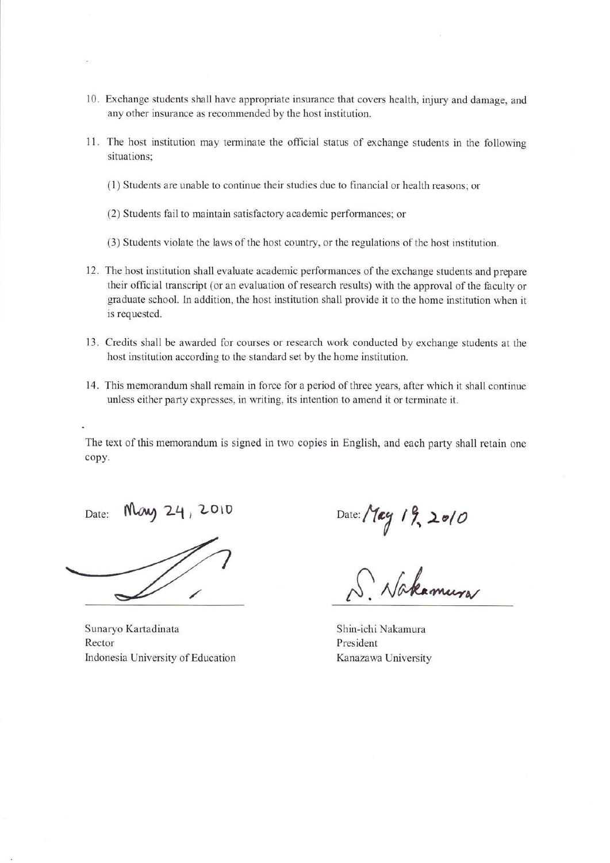- 10. Exchange students shall have appropriate insurance that covers health, injury and damage, and any other insurance as recommended by the host institution.
- 11. The host institution may terminate the official status of exchange students in the following situations;
	- (1) Students are unable to continue their studies due to financial or health reasons; or
	- (2) Students fail to maintain satisfactory academic performances; or
	- (3) Students violate the laws of the host country, or the regulations of the host institution.
- 12. The host institution shall evaluate academic performances of the exchange students and prepare their official transcript (or an evaluation of research results) with the approval of the faculty or graduate school. ln addition, the host institution shall provide it to the home institution when it is requested.
- Credits shall be awarded for courses or research work conducted by exchange students at the 13. host institution according to the standard set by the home institution.
- This memorandum shall remain in force for a period of three years, after which it shall continue 14. unless either party expresses, in writing, its intention to amend it or terminate it.

The text of this memorandum is signed in two copies in English, and each party shall retain one copy.

Date: May 24, 2010

Sunaryo Kartadinata Rector hdonesia University of Education

Date:  $\frac{1}{2}$  19, 2010

 $\Delta$ . Nakamura

Shin-ichi Nakamura President Kanazawa University